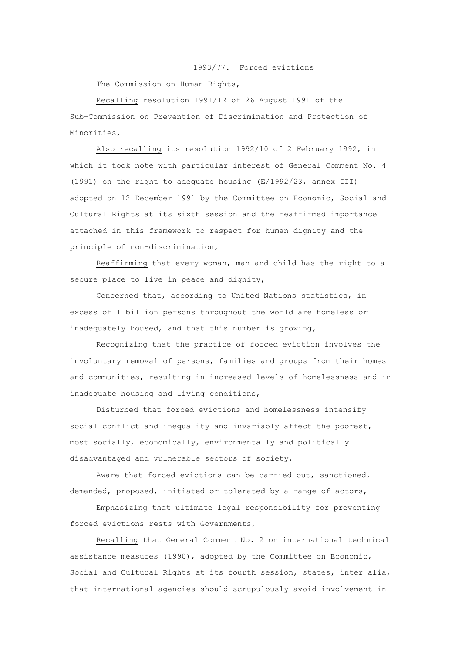## 1993/77. Forced evictions

## The Commission on Human Rights,

Recalling resolution 1991/12 of 26 August 1991 of the Sub-Commission on Prevention of Discrimination and Protection of Minorities,

Also recalling its resolution 1992/10 of 2 February 1992, in which it took note with particular interest of General Comment No. 4 (1991) on the right to adequate housing (E/1992/23, annex III) adopted on 12 December 1991 by the Committee on Economic, Social and Cultural Rights at its sixth session and the reaffirmed importance attached in this framework to respect for human dignity and the principle of non-discrimination,

Reaffirming that every woman, man and child has the right to a secure place to live in peace and dignity,

Concerned that, according to United Nations statistics, in excess of 1 billion persons throughout the world are homeless or inadequately housed, and that this number is growing,

Recognizing that the practice of forced eviction involves the involuntary removal of persons, families and groups from their homes and communities, resulting in increased levels of homelessness and in inadequate housing and living conditions,

Disturbed that forced evictions and homelessness intensify social conflict and inequality and invariably affect the poorest, most socially, economically, environmentally and politically disadvantaged and vulnerable sectors of society,

Aware that forced evictions can be carried out, sanctioned, demanded, proposed, initiated or tolerated by a range of actors,

Emphasizing that ultimate legal responsibility for preventing forced evictions rests with Governments,

Recalling that General Comment No. 2 on international technical assistance measures (1990), adopted by the Committee on Economic, Social and Cultural Rights at its fourth session, states, inter alia, that international agencies should scrupulously avoid involvement in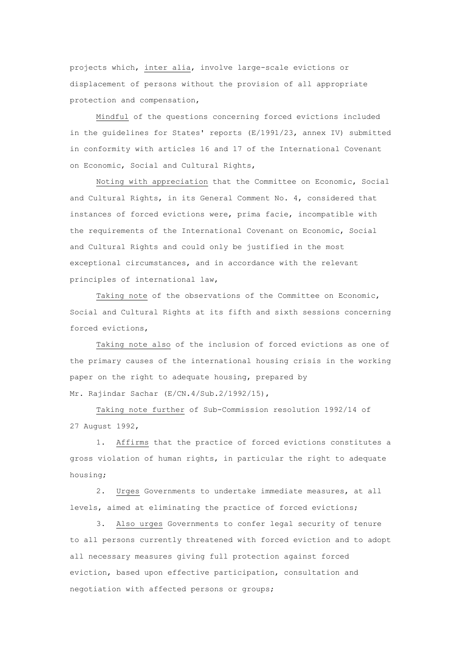projects which, inter alia, involve large-scale evictions or displacement of persons without the provision of all appropriate protection and compensation,

Mindful of the questions concerning forced evictions included in the guidelines for States' reports (E/1991/23, annex IV) submitted in conformity with articles 16 and 17 of the International Covenant on Economic, Social and Cultural Rights,

Noting with appreciation that the Committee on Economic, Social and Cultural Rights, in its General Comment No. 4, considered that instances of forced evictions were, prima facie, incompatible with the requirements of the International Covenant on Economic, Social and Cultural Rights and could only be justified in the most exceptional circumstances, and in accordance with the relevant principles of international law,

Taking note of the observations of the Committee on Economic, Social and Cultural Rights at its fifth and sixth sessions concerning forced evictions,

Taking note also of the inclusion of forced evictions as one of the primary causes of the international housing crisis in the working paper on the right to adequate housing, prepared by Mr. Rajindar Sachar (E/CN.4/Sub.2/1992/15),

Taking note further of Sub-Commission resolution 1992/14 of 27 August 1992,

1. Affirms that the practice of forced evictions constitutes a gross violation of human rights, in particular the right to adequate housing;

2. Urges Governments to undertake immediate measures, at all levels, aimed at eliminating the practice of forced evictions;

3. Also urges Governments to confer legal security of tenure to all persons currently threatened with forced eviction and to adopt all necessary measures giving full protection against forced eviction, based upon effective participation, consultation and negotiation with affected persons or groups;